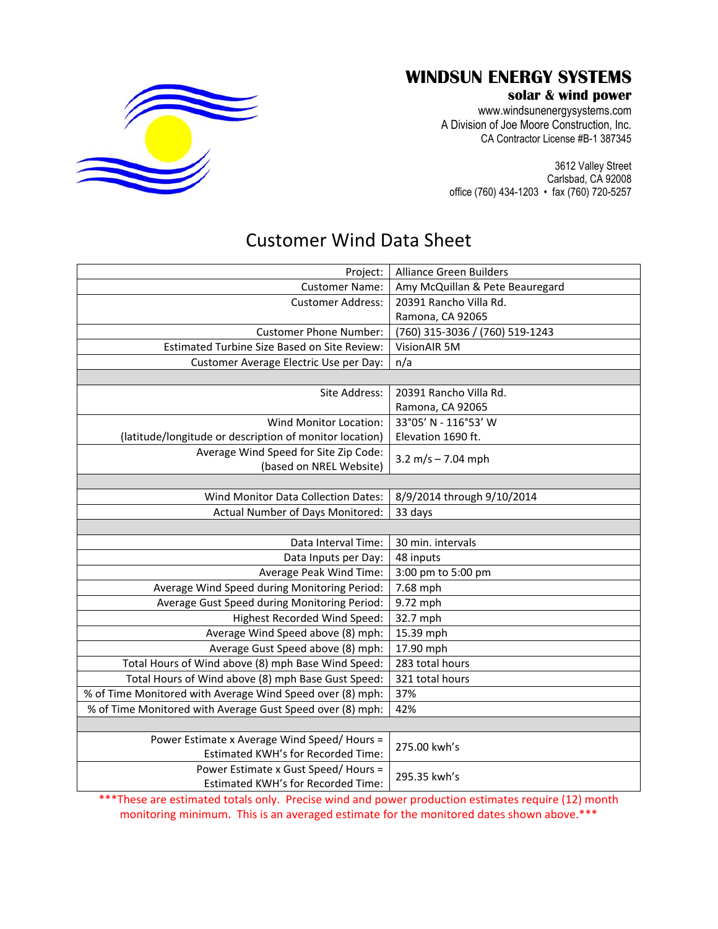

## **WINDSUN ENERGY SYSTEMS**

## **solar & wind power**

www.windsunenergysystems.com A Division of Joe Moore Construction, Inc. CA Contractor License #B-1 387345

3612 Valley Street Carlsbad, CA 92008 office (760) 434-1203 • fax (760) 720-5257

## Customer Wind Data Sheet

| <b>Alliance Green Builders</b>  |
|---------------------------------|
| Amy McQuillan & Pete Beauregard |
| 20391 Rancho Villa Rd.          |
| Ramona, CA 92065                |
| (760) 315-3036 / (760) 519-1243 |
| VisionAIR 5M                    |
| n/a                             |
|                                 |
| 20391 Rancho Villa Rd.          |
| Ramona, CA 92065                |
| 33°05' N - 116°53' W            |
| Elevation 1690 ft.              |
| 3.2 m/s $-$ 7.04 mph            |
|                                 |
| 8/9/2014 through 9/10/2014      |
| 33 days                         |
|                                 |
| 30 min. intervals               |
| 48 inputs                       |
| 3:00 pm to 5:00 pm              |
| 7.68 mph                        |
| 9.72 mph                        |
| 32.7 mph                        |
| 15.39 mph                       |
| 17.90 mph                       |
| 283 total hours                 |
| 321 total hours                 |
| 37%                             |
| 42%                             |
|                                 |
| 275.00 kwh's                    |
|                                 |
|                                 |

\*\*\*These are estimated totals only. Precise wind and power production estimates require (12) month monitoring minimum. This is an averaged estimate for the monitored dates shown above.\*\*\*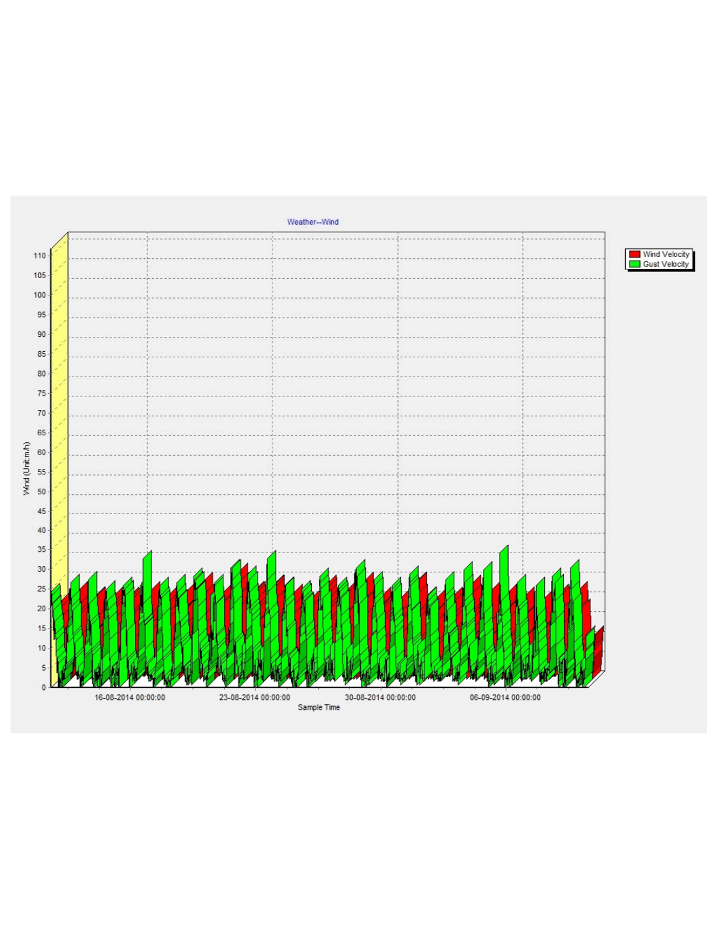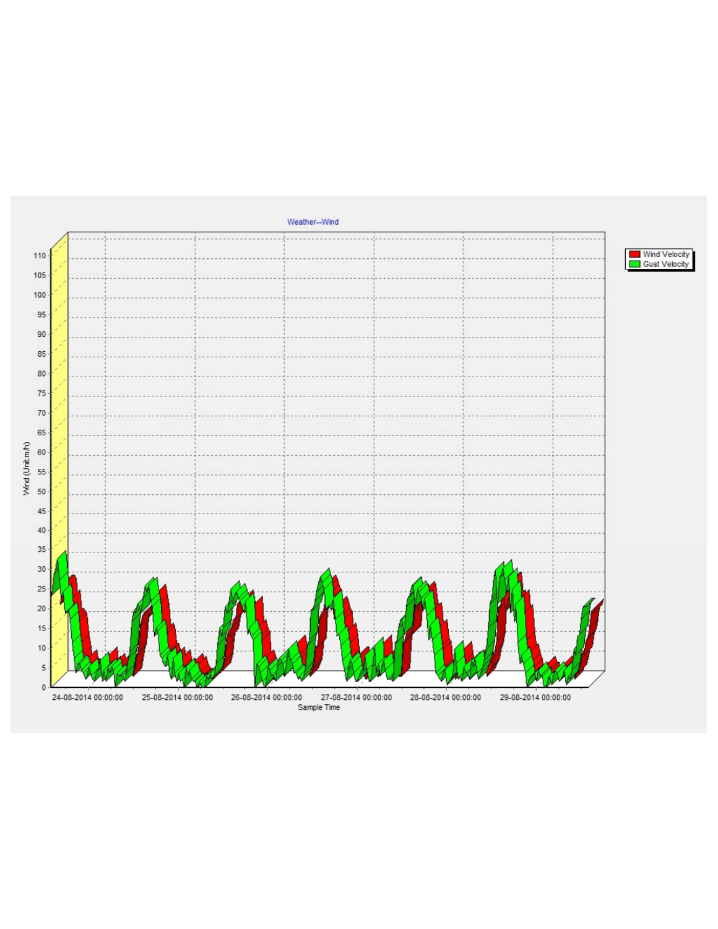